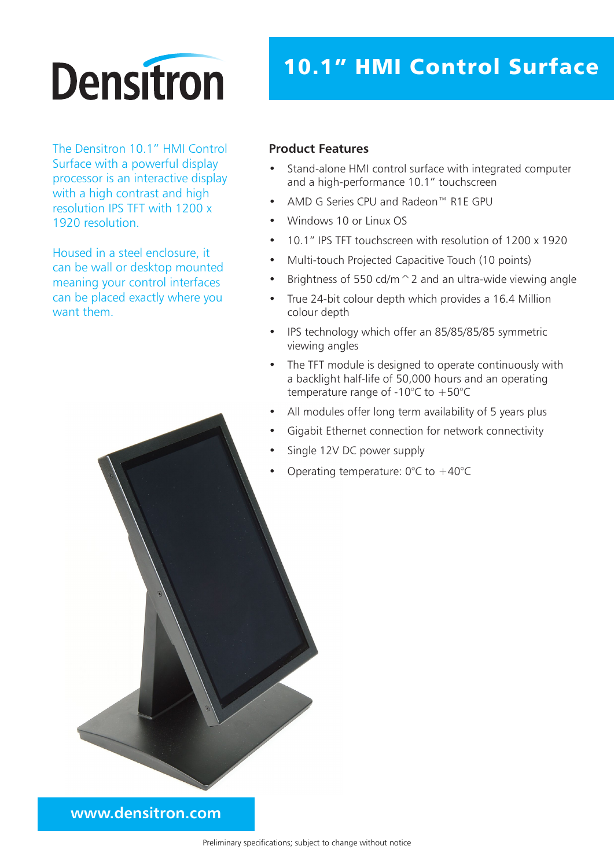## **Densitron**

The Densitron 10.1" HMI Control Surface with a powerful display processor is an interactive display with a high contrast and high resolution IPS TFT with 1200 x 1920 resolution.

Housed in a steel enclosure, it can be wall or desktop mounted meaning your control interfaces can be placed exactly where you want them.

## 10.1" HMI Control Surface

## **Product Features**

- Stand-alone HMI control surface with integrated computer and a high-performance 10.1" touchscreen
- AMD G Series CPU and Radeon™ R1E GPU
- Windows 10 or Linux OS
- 10.1" IPS TFT touchscreen with resolution of 1200 x 1920
- Multi-touch Projected Capacitive Touch (10 points)
- Brightness of 550 cd/m  $\hat{}$  2 and an ultra-wide viewing angle
- True 24-bit colour depth which provides a 16.4 Million colour depth
- IPS technology which offer an 85/85/85/85 symmetric viewing angles
- The TFT module is designed to operate continuously with a backlight half-life of 50,000 hours and an operating temperature range of -10 $^{\circ}$ C to +50 $^{\circ}$ C
- All modules offer long term availability of 5 years plus
- Gigabit Ethernet connection for network connectivity
- Single 12V DC power supply
- Operating temperature:  $0^{\circ}$ C to  $+40^{\circ}$ C

**www.densitron.com**